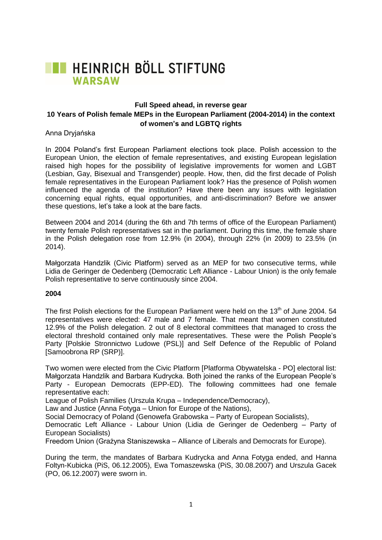

# **Full Speed ahead, in reverse gear 10 Years of Polish female MEPs in the European Parliament (2004-2014) in the context of women's and LGBTQ rights**

Anna Dryjańska

In 2004 Poland's first European Parliament elections took place. Polish accession to the European Union, the election of female representatives, and existing European legislation raised high hopes for the possibility of legislative improvements for women and LGBT (Lesbian, Gay, Bisexual and Transgender) people. How, then, did the first decade of Polish female representatives in the European Parliament look? Has the presence of Polish women influenced the agenda of the institution? Have there been any issues with legislation concerning equal rights, equal opportunities, and anti-discrimination? Before we answer these questions, let's take a look at the bare facts.

Between 2004 and 2014 (during the 6th and 7th terms of office of the European Parliament) twenty female Polish representatives sat in the parliament. During this time, the female share in the Polish delegation rose from 12.9% (in 2004), through 22% (in 2009) to 23.5% (in 2014).

Małgorzata Handzlik (Civic Platform) served as an MEP for two consecutive terms, while Lidia de Geringer de Oedenberg (Democratic Left Alliance - Labour Union) is the only female Polish representative to serve continuously since 2004.

## **2004**

The first Polish elections for the European Parliament were held on the 13<sup>th</sup> of June 2004. 54 representatives were elected: 47 male and 7 female. That meant that women constituted 12.9% of the Polish delegation. 2 out of 8 electoral committees that managed to cross the electoral threshold contained only male representatives. These were the Polish People's Party [Polskie Stronnictwo Ludowe (PSL)] and Self Defence of the Republic of Poland [Samoobrona RP (SRP)].

Two women were elected from the Civic Platform [Platforma Obywatelska - PO] electoral list: Małgorzata Handzlik and Barbara Kudrycka. Both joined the ranks of the European People's Party - European Democrats (EPP-ED). The following committees had one female representative each:

League of Polish Families (Urszula Krupa – Independence/Democracy),

Law and Justice (Anna Fotyga – Union for Europe of the Nations),

Social Democracy of Poland (Genowefa Grabowska – Party of European Socialists),

Democratic Left Alliance - Labour Union (Lidia de Geringer de Oedenberg – Party of European Socialists)

Freedom Union (Grażyna Staniszewska – Alliance of Liberals and Democrats for Europe).

During the term, the mandates of Barbara Kudrycka and Anna Fotyga ended, and Hanna Foltyn-Kubicka (PiS, 06.12.2005), Ewa Tomaszewska (PiS, 30.08.2007) and Urszula Gacek (PO, 06.12.2007) were sworn in.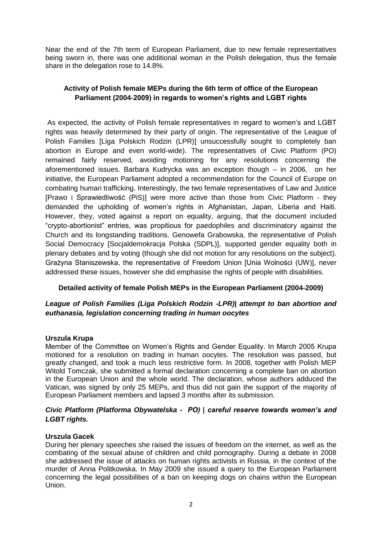Near the end of the 7th term of European Parliament, due to new female representatives being sworn in, there was one additional woman in the Polish delegation, thus the female share in the delegation rose to 14.8%.

# **Activity of Polish female MEPs during the 6th term of office of the European Parliament (2004-2009) in regards to women's rights and LGBT rights**

As expected, the activity of Polish female representatives in regard to women's and LGBT rights was heavily determined by their party of origin. The representative of the League of Polish Families [Liga Polskich Rodzin (LPR)] unsuccessfully sought to completely ban abortion in Europe and even world-wide). The representatives of Civic Platform (PO) remained fairly reserved, avoiding motioning for any resolutions concerning the aforementioned issues. Barbara Kudrycka was an exception though – in 2006, on her initiative, the European Parliament adopted a recommendation for the Council of Europe on combating human trafficking. Interestingly, the two female representatives of Law and Justice [Prawo i Sprawiedliwość (PiS)] were more active than those from Civic Platform - they demanded the upholding of women's rights in Afghanistan, Japan, Liberia and Haiti. However, they, voted against a report on equality, arguing, that the document included "crypto-abortionist" entries, was propitious for paedophiles and discriminatory against the Church and its longstanding traditions. Genowefa Grabowska, the representative of Polish Social Democracy [Socjaldemokracja Polska (SDPL)], supported gender equality both in plenary debates and by voting (though she did not motion for any resolutions on the subject). Grażyna Staniszewska, the representative of Freedom Union [Unia Wolności (UW)], never addressed these issues, however she did emphasise the rights of people with disabilities.

# **Detailed activity of female Polish MEPs in the European Parliament (2004-2009)**

## *League of Polish Families (Liga Polskich Rodzin -LPR)| attempt to ban abortion and euthanasia, legislation concerning trading in human oocytes*

## **Urszula Krupa**

Member of the Committee on Women's Rights and Gender Equality. In March 2005 Krupa motioned for a resolution on trading in human oocytes. The resolution was passed, but greatly changed, and took a much less restrictive form. In 2008, together with Polish MEP Witold Tomczak, she submitted a formal declaration concerning a complete ban on abortion in the European Union and the whole world. The declaration, whose authors adduced the Vatican, was signed by only 25 MEPs, and thus did not gain the support of the majority of European Parliament members and lapsed 3 months after its submission.

## *Civic Platform (Platforma Obywatelska - PO) | careful reserve towards women's and LGBT rights.*

## **Urszula Gacek**

During her plenary speeches she raised the issues of freedom on the internet, as well as the combating of the sexual abuse of children and child pornography. During a debate in 2008 she addressed the issue of attacks on human rights activists in Russia, in the context of the murder of Anna Politkowska. In May 2009 she issued a query to the European Parliament concerning the legal possibilities of a ban on keeping dogs on chains within the European Union.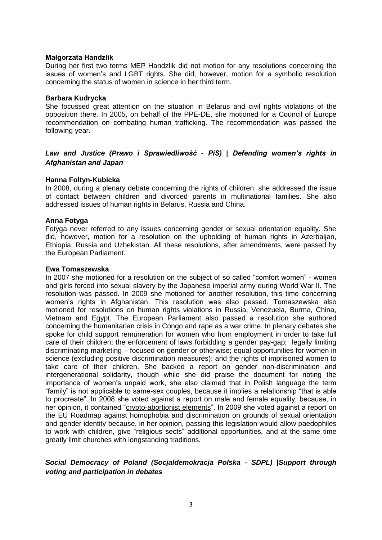#### **Małgorzata Handzlik**

During her first two terms MEP Handzlik did not motion for any resolutions concerning the issues of women's and LGBT rights. She did, however, motion for a symbolic resolution concerning the status of women in science in her third term.

## **Barbara Kudrycka**

She focussed great attention on the situation in Belarus and civil rights violations of the opposition there. In 2005, on behalf of the PPE-DE, she motioned for a Council of Europe recommendation on combating human trafficking. The recommendation was passed the following year.

# *Law and Justice (Prawo i Sprawiedliwość - PiS) | Defending women's rights in Afghanistan and Japan*

## **Hanna Foltyn-Kubicka**

In 2008, during a plenary debate concerning the rights of children, she addressed the issue of contact between children and divorced parents in multinational families. She also addressed issues of human rights in Belarus, Russia and China.

## **Anna Fotyga**

Fotyga never referred to any issues concerning gender or sexual orientation equality. She did, however, motion for a resolution on the upholding of human rights in Azerbaijan, Ethiopia, Russia and Uzbekistan. All these resolutions, after amendments, were passed by the European Parliament.

#### **Ewa Tomaszewska**

In 2007 she motioned for a resolution on the subject of so called "comfort women" - women and girls forced into sexual slavery by the Japanese imperial army during World War II. The resolution was passed. In 2009 she motioned for another resolution, this time concerning women's rights in Afghanistan. This resolution was also passed. Tomaszewska also motioned for resolutions on human rights violations in Russia, Venezuela, Burma, China, Vietnam and Egypt. The European Parliament also passed a resolution she authored concerning the humanitarian crisis in Congo and rape as a war crime. In plenary debates she spoke for child support remuneration for women who from employment in order to take full care of their children; the enforcement of laws forbidding a gender pay-gap; legally limiting discriminating marketing – focused on gender or otherwise; equal opportunities for women in science (excluding positive discrimination measures); and the rights of imprisoned women to take care of their children. She backed a report on gender non-discrimination and intergenerational solidarity, though while she did praise the document for noting the importance of women's unpaid work, she also claimed that in Polish language the term "family" is not applicable to same-sex couples, because it implies a relationship "that is able to procreate". In 2008 she voted against a report on male and female equality, because, in her opinion, it contained ["crypto-abortionist elements"](http://www.europarl.europa.eu/sides/getDoc.do?pubRef=-//EP//TEXT+CRE+20080903+ITEM-010+DOC+XML+V0//PL&query=INTERV&detail=3-112). In 2009 she voted against a report on the EU Roadmap against homophobia and discrimination on grounds of sexual orientation and gender identity because, in her opinion, passing this legislation would allow paedophiles to work with children, give "religious sects" additional opportunities, and at the same time greatly limit churches with longstanding traditions.

## *Social Democracy of Poland (Socjaldemokracja Polska - SDPL) |Support through voting and participation in debates*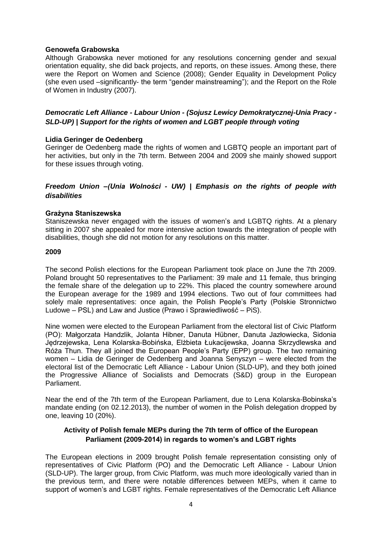## **Genowefa Grabowska**

Although Grabowska never motioned for any resolutions concerning gender and sexual orientation equality, she did back projects, and reports, on these issues. Among these, there were the Report on Women and Science (2008); Gender Equality in Development Policy (she even used –significantly- the term "gender mainstreaming"); and the Report on the Role of Women in Industry (2007).

# *Democratic Left Alliance - Labour Union - (Sojusz Lewicy Demokratycznej-Unia Pracy - SLD-UP) | Support for the rights of women and LGBT people through voting*

## **Lidia Geringer de Oedenberg**

Geringer de Oedenberg made the rights of women and LGBTQ people an important part of her activities, but only in the 7th term. Between 2004 and 2009 she mainly showed support for these issues through voting.

## *Freedom Union –(Unia Wolności - UW) | Emphasis on the rights of people with disabilities*

## **Grażyna Staniszewska**

Staniszewska never engaged with the issues of women's and LGBTQ rights. At a plenary sitting in 2007 she appealed for more intensive action towards the integration of people with disabilities, though she did not motion for any resolutions on this matter.

#### **2009**

The second Polish elections for the European Parliament took place on June the 7th 2009. Poland brought 50 representatives to the Parliament: 39 male and 11 female, thus bringing the female share of the delegation up to 22%. This placed the country somewhere around the European average for the 1989 and 1994 elections. Two out of four committees had solely male representatives: once again, the Polish People's Party (Polskie Stronnictwo Ludowe – PSL) and Law and Justice (Prawo i Sprawiedliwość – PiS).

Nine women were elected to the European Parliament from the electoral list of Civic Platform (PO): Małgorzata Handzlik, Jolanta Hibner, Danuta Hübner, Danuta Jazłowiecka, Sidonia Jędrzejewska, Lena Kolarska-Bobińska, Elżbieta Łukacijewska, Joanna Skrzydlewska and Róża Thun. They all joined the European People's Party (EPP) group. The two remaining women – Lidia de Geringer de Oedenberg and Joanna Senyszyn – were elected from the electoral list of the Democratic Left Alliance - Labour Union (SLD-UP), and they both joined the Progressive Alliance of Socialists and Democrats (S&D) group in the European Parliament.

Near the end of the 7th term of the European Parliament, due to Lena Kolarska-Bobinska's mandate ending (on 02.12.2013), the number of women in the Polish delegation dropped by one, leaving 10 (20%).

## **Activity of Polish female MEPs during the 7th term of office of the European Parliament (2009-2014) in regards to women's and LGBT rights**

The European elections in 2009 brought Polish female representation consisting only of representatives of Civic Platform (PO) and the Democratic Left Alliance - Labour Union (SLD-UP). The larger group, from Civic Platform, was much more ideologically varied than in the previous term, and there were notable differences between MEPs, when it came to support of women's and LGBT rights. Female representatives of the Democratic Left Alliance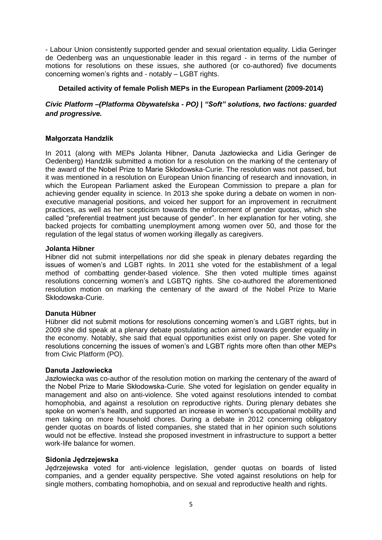- Labour Union consistently supported gender and sexual orientation equality. Lidia Geringer de Oedenberg was an unquestionable leader in this regard - in terms of the number of motions for resolutions on these issues, she authored (or co-authored) five documents concerning women's rights and - notably – LGBT rights.

## **Detailed activity of female Polish MEPs in the European Parliament (2009-2014)**

# *Civic Platform –(Platforma Obywatelska - PO) | "Soft" solutions, two factions: guarded and progressive.*

## **Małgorzata Handzlik**

In 2011 (along with MEPs Jolanta Hibner, Danuta Jazłowiecka and Lidia Geringer de Oedenberg) Handzlik submitted a motion for a resolution on the marking of the centenary of the award of the Nobel Prize to Marie Skłodowska-Curie. The resolution was not passed, but it was mentioned in a resolution on European Union financing of research and innovation, in which the European Parliament asked the European Commission to prepare a plan for achieving gender equality in science. In 2013 she spoke during a debate on women in nonexecutive managerial positions, and voiced her support for an improvement in recruitment practices, as well as her scepticism towards the enforcement of gender quotas, which she called "preferential treatment just because of gender". In her explanation for her voting, she backed projects for combatting unemployment among women over 50, and those for the regulation of the legal status of women working illegally as caregivers.

## **Jolanta Hibner**

Hibner did not submit interpellations nor did she speak in plenary debates regarding the issues of women's and LGBT rights. In 2011 she voted for the establishment of a legal method of combatting gender-based violence. She then voted multiple times against resolutions concerning women's and LGBTQ rights. She co-authored the aforementioned resolution motion on marking the centenary of the award of the Nobel Prize to Marie Skłodowska-Curie.

## **Danuta Hübner**

Hübner did not submit motions for resolutions concerning women's and LGBT rights, but in 2009 she did speak at a plenary debate postulating action aimed towards gender equality in the economy. Notably, she said that equal opportunities exist only on paper. She voted for resolutions concerning the issues of women's and LGBT rights more often than other MEPs from Civic Platform (PO).

## **Danuta Jazłowiecka**

Jazłowiecka was co-author of the resolution motion on marking the centenary of the award of the Nobel Prize to Marie Skłodowska-Curie. She voted for legislation on gender equality in management and also on anti-violence. She voted against resolutions intended to combat homophobia, and against a resolution on reproductive rights. During plenary debates she spoke on women's health, and supported an increase in women's occupational mobility and men taking on more household chores. During a debate in 2012 concerning obligatory gender quotas on boards of listed companies, she stated that in her opinion such solutions would not be effective. Instead she proposed investment in infrastructure to support a better work-life balance for women.

## **Sidonia Jędrzejewska**

Jędrzejewska voted for anti-violence legislation, gender quotas on boards of listed companies, and a gender equality perspective. She voted against resolutions on help for single mothers, combating homophobia, and on sexual and reproductive health and rights.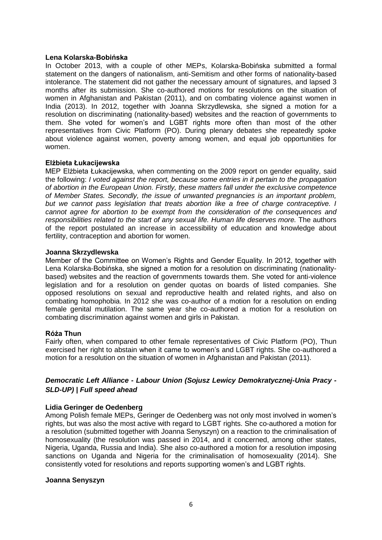## **Lena Kolarska-Bobińska**

In October 2013, with a couple of other MEPs, Kolarska-Bobińska submitted a formal statement on the dangers of nationalism, anti-Semitism and other forms of nationality-based intolerance. The statement did not gather the necessary amount of signatures, and lapsed 3 months after its submission. She co-authored motions for resolutions on the situation of women in Afghanistan and Pakistan (2011), and on combating violence against women in India (2013). In 2012, together with Joanna Skrzydlewska, she signed a motion for a resolution on discriminating (nationality-based) websites and the reaction of governments to them. She voted for women's and LGBT rights more often than most of the other representatives from Civic Platform (PO). During plenary debates she repeatedly spoke about violence against women, poverty among women, and equal job opportunities for women.

## **Elżbieta Łukacijewska**

MEP Elżbieta Łukacijewska, when commenting on the 2009 report on gender equality, said the following: *I voted against the report, because some entries in it pertain to the propagation of abortion in the European Union. Firstly, these matters fall under the exclusive competence of Member States. Secondly, the issue of unwanted pregnancies is an important problem, but we cannot pass legislation that treats abortion like a free of charge contraceptive. I cannot agree for abortion to be exempt from the consideration of the consequences and responsibilities related to the start of any sexual life. Human life deserves more.* The authors of the report postulated an increase in accessibility of education and knowledge about fertility, contraception and abortion for women.

#### **Joanna Skrzydlewska**

Member of the Committee on Women's Rights and Gender Equality. In 2012, together with Lena Kolarska-Bobińska, she signed a motion for a resolution on discriminating (nationalitybased) websites and the reaction of governments towards them. She voted for anti-violence legislation and for a resolution on gender quotas on boards of listed companies. She opposed resolutions on sexual and reproductive health and related rights, and also on combating homophobia. In 2012 she was co-author of a motion for a resolution on ending female genital mutilation. The same year she co-authored a motion for a resolution on combating discrimination against women and girls in Pakistan.

## **Róża Thun**

Fairly often, when compared to other female representatives of Civic Platform (PO), Thun exercised her right to abstain when it came to women's and LGBT rights. She co-authored a motion for a resolution on the situation of women in Afghanistan and Pakistan (2011).

# *Democratic Left Alliance - Labour Union (Sojusz Lewicy Demokratycznej-Unia Pracy - SLD-UP) | Full speed ahead*

## **Lidia Geringer de Oedenberg**

Among Polish female MEPs, Geringer de Oedenberg was not only most involved in women's rights, but was also the most active with regard to LGBT rights. She co-authored a motion for a resolution (submitted together with Joanna Senyszyn) on a reaction to the criminalisation of homosexuality (the resolution was passed in 2014, and it concerned, among other states, Nigeria, Uganda, Russia and India). She also co-authored a motion for a resolution imposing sanctions on Uganda and Nigeria for the criminalisation of homosexuality (2014). She consistently voted for resolutions and reports supporting women's and LGBT rights.

#### **Joanna Senyszyn**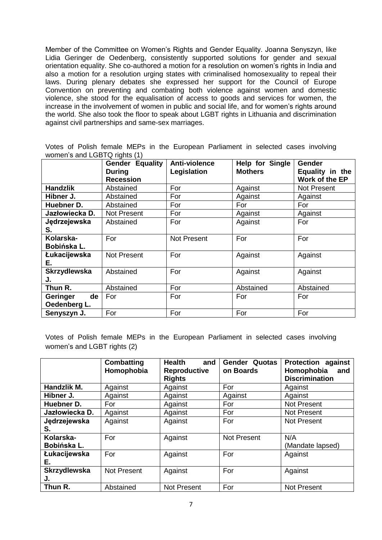Member of the Committee on Women's Rights and Gender Equality. Joanna Senyszyn, like Lidia Geringer de Oedenberg, consistently supported solutions for gender and sexual orientation equality. She co-authored a motion for a resolution on women's rights in India and also a motion for a resolution urging states with criminalised homosexuality to repeal their laws. During plenary debates she expressed her support for the Council of Europe Convention on preventing and combating both violence against women and domestic violence, she stood for the equalisation of access to goods and services for women, the increase in the involvement of women in public and social life, and for women's rights around the world. She also took the floor to speak about LGBT rights in Lithuania and discrimination against civil partnerships and same-sex marriages.

Votes of Polish female MEPs in the European Parliament in selected cases involving women's and LGBTQ rights (1)

|                                | <b>Gender Equality</b><br><b>During</b><br><b>Recession</b> | Anti-violence<br>Legislation | Help for Single<br><b>Mothers</b> | <b>Gender</b><br>Equality in the<br>Work of the EP |
|--------------------------------|-------------------------------------------------------------|------------------------------|-----------------------------------|----------------------------------------------------|
| <b>Handzlik</b>                | Abstained                                                   | For                          | Against                           | Not Present                                        |
| Hibner J.                      | Abstained                                                   | For                          | Against                           | Against                                            |
| Huebner D.                     | Abstained                                                   | For                          | For                               | For                                                |
| Jazłowiecka D.                 | <b>Not Present</b>                                          | For                          | Against                           | Against                                            |
| Jędrzejewska<br>S.             | Abstained                                                   | For                          | Against                           | For                                                |
| Kolarska-<br>Bobińska L.       | For                                                         | <b>Not Present</b>           | For                               | For                                                |
| Łukacijewska<br>Е.             | <b>Not Present</b>                                          | For                          | Against                           | Against                                            |
| <b>Skrzydlewska</b><br>J.      | Abstained                                                   | For                          | Against                           | Against                                            |
| Thun R.                        | Abstained                                                   | For                          | Abstained                         | Abstained                                          |
| de<br>Geringer<br>Oedenberg L. | For                                                         | For                          | For                               | For                                                |
| Senyszyn J.                    | For                                                         | For                          | For                               | For                                                |

Votes of Polish female MEPs in the European Parliament in selected cases involving women's and LGBT rights (2)

|                           | <b>Combatting</b><br>Homophobia | <b>Health</b><br>and<br>Reproductive<br><b>Rights</b> | Quotas<br>Gender<br>on Boards | <b>Protection against</b><br>Homophobia<br>and<br><b>Discrimination</b> |
|---------------------------|---------------------------------|-------------------------------------------------------|-------------------------------|-------------------------------------------------------------------------|
| Handzlik M.               | Against                         | Against                                               | For                           | Against                                                                 |
| Hibner J.                 | Against                         | Against                                               | Against                       | Against                                                                 |
| Huebner D.                | For                             | Against                                               | For                           | <b>Not Present</b>                                                      |
| Jazłowiecka D.            | Against                         | Against                                               | For                           | <b>Not Present</b>                                                      |
| Jędrzejewska              | Against                         | Against                                               | For                           | <b>Not Present</b>                                                      |
| S.                        |                                 |                                                       |                               |                                                                         |
| Kolarska-                 | For                             | Against                                               | <b>Not Present</b>            | N/A                                                                     |
| Bobińska L.               |                                 |                                                       |                               | (Mandate lapsed)                                                        |
| Łukacijewska              | For                             | Against                                               | For                           | Against                                                                 |
| Е.                        |                                 |                                                       |                               |                                                                         |
| <b>Skrzydlewska</b><br>J. | <b>Not Present</b>              | Against                                               | For                           | Against                                                                 |
| Thun R.                   | Abstained                       | <b>Not Present</b>                                    | For                           | <b>Not Present</b>                                                      |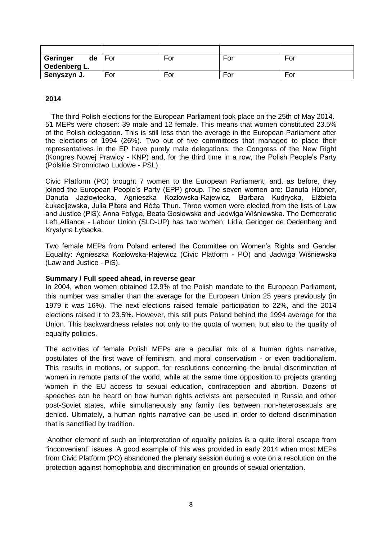| Geringer<br>de | For | For | For | For |
|----------------|-----|-----|-----|-----|
| Oedenberg L.   |     |     |     |     |
| Senyszyn J.    | For | For | For | For |

## **2014**

 The third Polish elections for the European Parliament took place on the 25th of May 2014. 51 MEPs were chosen: 39 male and 12 female. This means that women constituted 23.5% of the Polish delegation. This is still less than the average in the European Parliament after the elections of 1994 (26%). Two out of five committees that managed to place their representatives in the EP have purely male delegations: the Congress of the New Right (Kongres Nowej Prawicy - KNP) and, for the third time in a row, the Polish People's Party (Polskie Stronnictwo Ludowe - PSL).

Civic Platform (PO) brought 7 women to the European Parliament, and, as before, they joined the European People's Party (EPP) group. The seven women are: Danuta Hübner, Danuta Jazłowiecka, Agnieszka Kozłowska-Rajewicz, Barbara Kudrycka, Elżbieta Łukacijewska, Julia Pitera and Róża Thun. Three women were elected from the lists of Law and Justice (PiS): Anna Fotyga, Beata Gosiewska and Jadwiga Wiśniewska. The Democratic Left Alliance - Labour Union (SLD-UP) has two women: Lidia Geringer de Oedenberg and Krystyna Łybacka.

Two female MEPs from Poland entered the Committee on Women's Rights and Gender Equality: Agnieszka Kozłowska-Rajewicz (Civic Platform - PO) and Jadwiga Wiśniewska (Law and Justice - PiS).

#### **Summary / Full speed ahead, in reverse gear**

In 2004, when women obtained 12.9% of the Polish mandate to the European Parliament, this number was smaller than the average for the European Union 25 years previously (in 1979 it was 16%). The next elections raised female participation to 22%, and the 2014 elections raised it to 23.5%. However, this still puts Poland behind the 1994 average for the Union. This backwardness relates not only to the quota of women, but also to the quality of equality policies.

The activities of female Polish MEPs are a peculiar mix of a human rights narrative, postulates of the first wave of feminism, and moral conservatism - or even traditionalism. This results in motions, or support, for resolutions concerning the brutal discrimination of women in remote parts of the world, while at the same time opposition to projects granting women in the EU access to sexual education, contraception and abortion. Dozens of speeches can be heard on how human rights activists are persecuted in Russia and other post-Soviet states, while simultaneously any family ties between non-heterosexuals are denied. Ultimately, a human rights narrative can be used in order to defend discrimination that is sanctified by tradition.

Another element of such an interpretation of equality policies is a quite literal escape from "inconvenient" issues. A good example of this was provided in early 2014 when most MEPs from Civic Platform (PO) abandoned the plenary session during a vote on a resolution on the protection against homophobia and discrimination on grounds of sexual orientation.